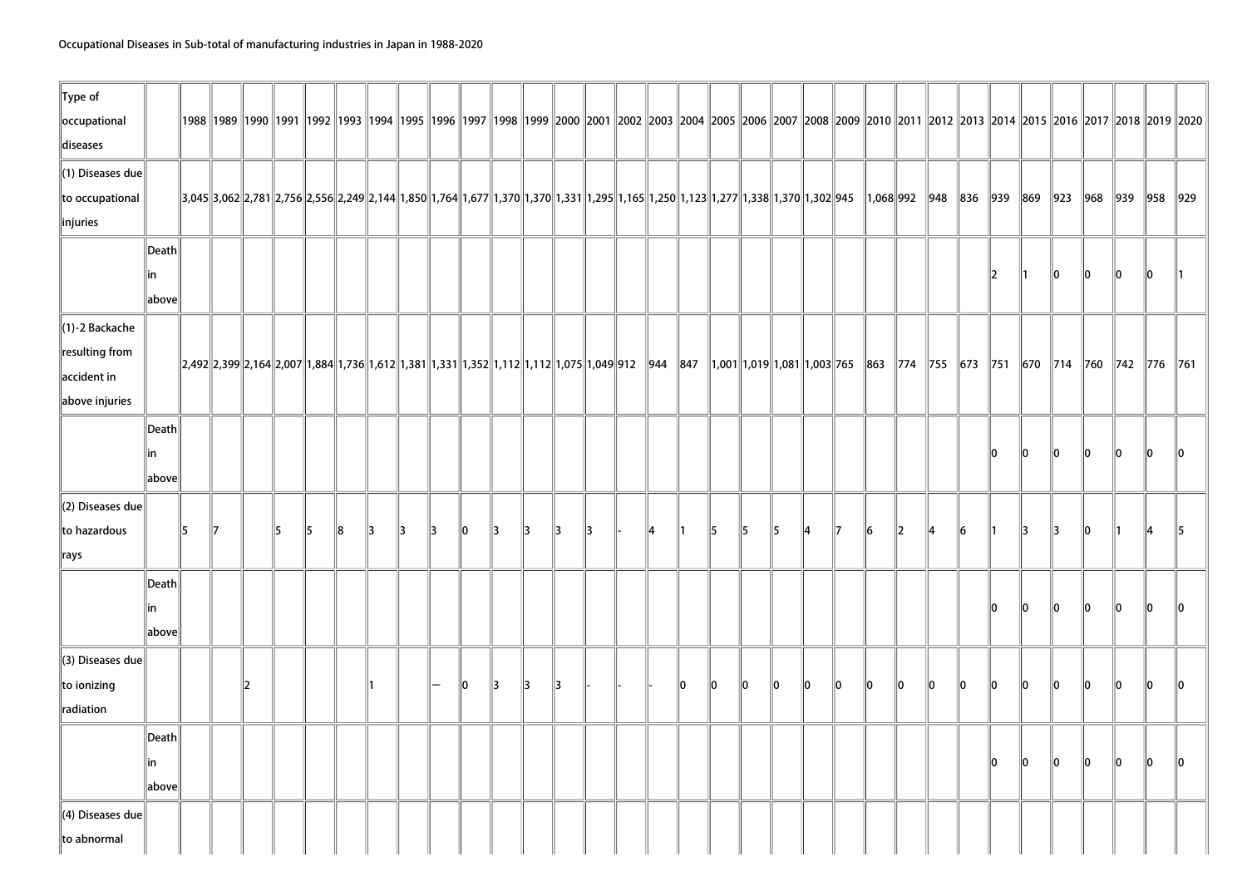| 1991  1992  1992  1993  1994  1995  1996  1997  1998  1999  2000  2001  2002  2003  2004  2005  2006  2007  2008  2009  2010  2011  2012  2013  2014  2015  2016  2017  2018  2019  2019 <br>3002 3781 2,781 2,758 2,556 2,249 2,144 1,850 1,764 1,677 1,370 1,370 1,331 1,295 1,165 1,250 1,123 1,277 1,338 1,370 1,302 945<br>  1,068  992   948<br>836<br>$ 939\rangle$<br>869<br>$\ 923\ 968\ 939$<br>$\ 958\ 929\ $<br>Death<br>10<br>12<br>10<br>10<br>10<br>lin<br>$\parallel$ 1<br>above<br> 2,492 2,399 2,164 2,007  1,884  1,736  1,612  1,381  1,331  1,352  1,112  1,112  1,075  1,049 912  944  847  1,001  1,019  1,081  1,003  765  863  774  755  673  751  670  714  760  714  760  742  776  761<br>Death<br>$\ 0\ $<br>10<br>llo.<br>10<br>lo.<br>llo.<br>llo.<br>lin<br>above<br>5<br>15<br>8<br>13<br>5<br>6<br>13<br>10<br>15<br>17<br>15<br>15<br>13<br>13<br>llo<br>l3<br>13<br>13<br>13<br>14<br>15<br>117<br>16<br>12<br>13<br>$\parallel$ 1<br>14<br>11<br>14<br>Death<br>llo<br>10<br>llo.<br>llo.<br>lo.<br>lo.<br>llo.<br>lin<br>above<br>llo<br>l3<br>13<br>10<br>llo.<br>lo.<br>llo.<br>10<br>10<br>llo.<br>10<br>llo.<br>10<br>llo.<br>lo.<br>lo.<br>12<br>l3<br>llo<br>llo.<br>10<br>llo<br>11<br>Death<br>$\mathbf{I}$<br>$ 0\rangle$<br>lo.<br>$ 0\rangle$<br>10<br>llo.<br>llo<br> in<br>above | $\ $ Type of                             |  |  |  |  |  |  |  |  |  |  |  |  |  |  |  |  |  |
|-------------------------------------------------------------------------------------------------------------------------------------------------------------------------------------------------------------------------------------------------------------------------------------------------------------------------------------------------------------------------------------------------------------------------------------------------------------------------------------------------------------------------------------------------------------------------------------------------------------------------------------------------------------------------------------------------------------------------------------------------------------------------------------------------------------------------------------------------------------------------------------------------------------------------------------------------------------------------------------------------------------------------------------------------------------------------------------------------------------------------------------------------------------------------------------------------------------------------------------------------------------------------------------------------------------------------------------|------------------------------------------|--|--|--|--|--|--|--|--|--|--|--|--|--|--|--|--|--|
|                                                                                                                                                                                                                                                                                                                                                                                                                                                                                                                                                                                                                                                                                                                                                                                                                                                                                                                                                                                                                                                                                                                                                                                                                                                                                                                                     | occupational                             |  |  |  |  |  |  |  |  |  |  |  |  |  |  |  |  |  |
|                                                                                                                                                                                                                                                                                                                                                                                                                                                                                                                                                                                                                                                                                                                                                                                                                                                                                                                                                                                                                                                                                                                                                                                                                                                                                                                                     | diseases                                 |  |  |  |  |  |  |  |  |  |  |  |  |  |  |  |  |  |
|                                                                                                                                                                                                                                                                                                                                                                                                                                                                                                                                                                                                                                                                                                                                                                                                                                                                                                                                                                                                                                                                                                                                                                                                                                                                                                                                     | $\ $ (1) Diseases due                    |  |  |  |  |  |  |  |  |  |  |  |  |  |  |  |  |  |
|                                                                                                                                                                                                                                                                                                                                                                                                                                                                                                                                                                                                                                                                                                                                                                                                                                                                                                                                                                                                                                                                                                                                                                                                                                                                                                                                     | to occupational                          |  |  |  |  |  |  |  |  |  |  |  |  |  |  |  |  |  |
|                                                                                                                                                                                                                                                                                                                                                                                                                                                                                                                                                                                                                                                                                                                                                                                                                                                                                                                                                                                                                                                                                                                                                                                                                                                                                                                                     | $\parallel$ injuries                     |  |  |  |  |  |  |  |  |  |  |  |  |  |  |  |  |  |
|                                                                                                                                                                                                                                                                                                                                                                                                                                                                                                                                                                                                                                                                                                                                                                                                                                                                                                                                                                                                                                                                                                                                                                                                                                                                                                                                     |                                          |  |  |  |  |  |  |  |  |  |  |  |  |  |  |  |  |  |
|                                                                                                                                                                                                                                                                                                                                                                                                                                                                                                                                                                                                                                                                                                                                                                                                                                                                                                                                                                                                                                                                                                                                                                                                                                                                                                                                     |                                          |  |  |  |  |  |  |  |  |  |  |  |  |  |  |  |  |  |
|                                                                                                                                                                                                                                                                                                                                                                                                                                                                                                                                                                                                                                                                                                                                                                                                                                                                                                                                                                                                                                                                                                                                                                                                                                                                                                                                     |                                          |  |  |  |  |  |  |  |  |  |  |  |  |  |  |  |  |  |
|                                                                                                                                                                                                                                                                                                                                                                                                                                                                                                                                                                                                                                                                                                                                                                                                                                                                                                                                                                                                                                                                                                                                                                                                                                                                                                                                     | $\ $ (1)-2 Backache                      |  |  |  |  |  |  |  |  |  |  |  |  |  |  |  |  |  |
|                                                                                                                                                                                                                                                                                                                                                                                                                                                                                                                                                                                                                                                                                                                                                                                                                                                                                                                                                                                                                                                                                                                                                                                                                                                                                                                                     | $\ $ resulting from                      |  |  |  |  |  |  |  |  |  |  |  |  |  |  |  |  |  |
|                                                                                                                                                                                                                                                                                                                                                                                                                                                                                                                                                                                                                                                                                                                                                                                                                                                                                                                                                                                                                                                                                                                                                                                                                                                                                                                                     | $\parallel$ accident in                  |  |  |  |  |  |  |  |  |  |  |  |  |  |  |  |  |  |
|                                                                                                                                                                                                                                                                                                                                                                                                                                                                                                                                                                                                                                                                                                                                                                                                                                                                                                                                                                                                                                                                                                                                                                                                                                                                                                                                     | above injuries                           |  |  |  |  |  |  |  |  |  |  |  |  |  |  |  |  |  |
|                                                                                                                                                                                                                                                                                                                                                                                                                                                                                                                                                                                                                                                                                                                                                                                                                                                                                                                                                                                                                                                                                                                                                                                                                                                                                                                                     |                                          |  |  |  |  |  |  |  |  |  |  |  |  |  |  |  |  |  |
|                                                                                                                                                                                                                                                                                                                                                                                                                                                                                                                                                                                                                                                                                                                                                                                                                                                                                                                                                                                                                                                                                                                                                                                                                                                                                                                                     |                                          |  |  |  |  |  |  |  |  |  |  |  |  |  |  |  |  |  |
|                                                                                                                                                                                                                                                                                                                                                                                                                                                                                                                                                                                                                                                                                                                                                                                                                                                                                                                                                                                                                                                                                                                                                                                                                                                                                                                                     |                                          |  |  |  |  |  |  |  |  |  |  |  |  |  |  |  |  |  |
|                                                                                                                                                                                                                                                                                                                                                                                                                                                                                                                                                                                                                                                                                                                                                                                                                                                                                                                                                                                                                                                                                                                                                                                                                                                                                                                                     | $\parallel$ (2) Diseases due             |  |  |  |  |  |  |  |  |  |  |  |  |  |  |  |  |  |
|                                                                                                                                                                                                                                                                                                                                                                                                                                                                                                                                                                                                                                                                                                                                                                                                                                                                                                                                                                                                                                                                                                                                                                                                                                                                                                                                     | to hazardous                             |  |  |  |  |  |  |  |  |  |  |  |  |  |  |  |  |  |
|                                                                                                                                                                                                                                                                                                                                                                                                                                                                                                                                                                                                                                                                                                                                                                                                                                                                                                                                                                                                                                                                                                                                                                                                                                                                                                                                     | $\parallel$ rays                         |  |  |  |  |  |  |  |  |  |  |  |  |  |  |  |  |  |
|                                                                                                                                                                                                                                                                                                                                                                                                                                                                                                                                                                                                                                                                                                                                                                                                                                                                                                                                                                                                                                                                                                                                                                                                                                                                                                                                     |                                          |  |  |  |  |  |  |  |  |  |  |  |  |  |  |  |  |  |
|                                                                                                                                                                                                                                                                                                                                                                                                                                                                                                                                                                                                                                                                                                                                                                                                                                                                                                                                                                                                                                                                                                                                                                                                                                                                                                                                     |                                          |  |  |  |  |  |  |  |  |  |  |  |  |  |  |  |  |  |
|                                                                                                                                                                                                                                                                                                                                                                                                                                                                                                                                                                                                                                                                                                                                                                                                                                                                                                                                                                                                                                                                                                                                                                                                                                                                                                                                     |                                          |  |  |  |  |  |  |  |  |  |  |  |  |  |  |  |  |  |
|                                                                                                                                                                                                                                                                                                                                                                                                                                                                                                                                                                                                                                                                                                                                                                                                                                                                                                                                                                                                                                                                                                                                                                                                                                                                                                                                     | $\parallel$ (3) Diseases due             |  |  |  |  |  |  |  |  |  |  |  |  |  |  |  |  |  |
|                                                                                                                                                                                                                                                                                                                                                                                                                                                                                                                                                                                                                                                                                                                                                                                                                                                                                                                                                                                                                                                                                                                                                                                                                                                                                                                                     | to ionizing                              |  |  |  |  |  |  |  |  |  |  |  |  |  |  |  |  |  |
|                                                                                                                                                                                                                                                                                                                                                                                                                                                                                                                                                                                                                                                                                                                                                                                                                                                                                                                                                                                                                                                                                                                                                                                                                                                                                                                                     | radiation                                |  |  |  |  |  |  |  |  |  |  |  |  |  |  |  |  |  |
|                                                                                                                                                                                                                                                                                                                                                                                                                                                                                                                                                                                                                                                                                                                                                                                                                                                                                                                                                                                                                                                                                                                                                                                                                                                                                                                                     |                                          |  |  |  |  |  |  |  |  |  |  |  |  |  |  |  |  |  |
|                                                                                                                                                                                                                                                                                                                                                                                                                                                                                                                                                                                                                                                                                                                                                                                                                                                                                                                                                                                                                                                                                                                                                                                                                                                                                                                                     |                                          |  |  |  |  |  |  |  |  |  |  |  |  |  |  |  |  |  |
|                                                                                                                                                                                                                                                                                                                                                                                                                                                                                                                                                                                                                                                                                                                                                                                                                                                                                                                                                                                                                                                                                                                                                                                                                                                                                                                                     |                                          |  |  |  |  |  |  |  |  |  |  |  |  |  |  |  |  |  |
|                                                                                                                                                                                                                                                                                                                                                                                                                                                                                                                                                                                                                                                                                                                                                                                                                                                                                                                                                                                                                                                                                                                                                                                                                                                                                                                                     | $\parallel$ (4) Diseases due $\parallel$ |  |  |  |  |  |  |  |  |  |  |  |  |  |  |  |  |  |
|                                                                                                                                                                                                                                                                                                                                                                                                                                                                                                                                                                                                                                                                                                                                                                                                                                                                                                                                                                                                                                                                                                                                                                                                                                                                                                                                     | to abnormal                              |  |  |  |  |  |  |  |  |  |  |  |  |  |  |  |  |  |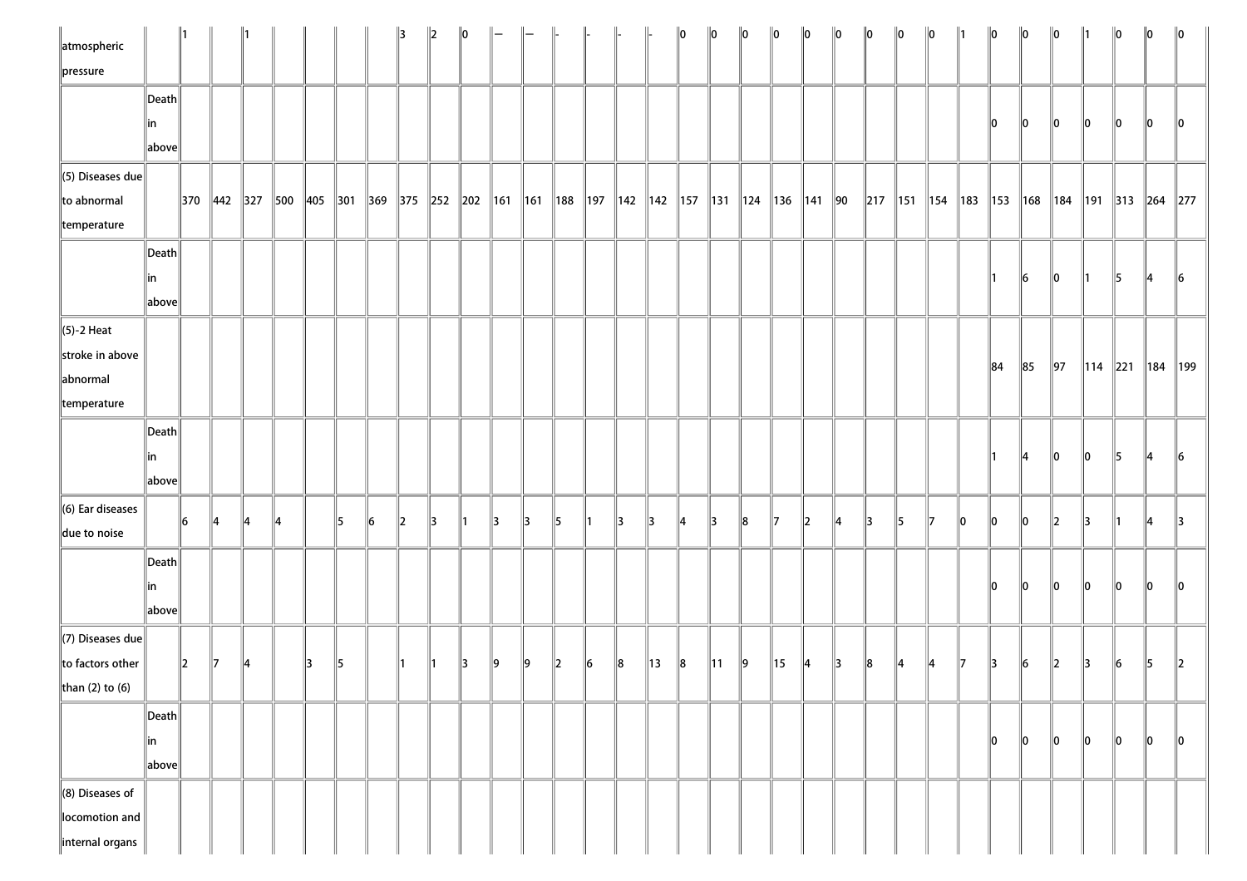| atmospheric<br>pressure                                               |                       |         |                        |               |    |         |    |    | 13           | $\parallel$ <sub>2</sub> | $\ 0\ $ |                         |    |             |             |                       |    | llo | 10             | $\ 0\ $         | 10             | 10             | llo. | $\ 0\ $       | $\ 0\ $       | $\ 0\ $         |     | $\ 0\ $   | $\ 0\ $ | $\ 0\ $       | $\parallel$ 1 | $\ 0\ $   | $\ 0\ $         | $\ 0\ $         |
|-----------------------------------------------------------------------|-----------------------|---------|------------------------|---------------|----|---------|----|----|--------------|--------------------------|---------|-------------------------|----|-------------|-------------|-----------------------|----|-----|----------------|-----------------|----------------|----------------|------|---------------|---------------|-----------------|-----|-----------|---------|---------------|---------------|-----------|-----------------|-----------------|
|                                                                       | Death<br> in<br>above |         |                        |               |    |         |    |    |              |                          |         |                         |    |             |             |                       |    |     |                |                 |                |                |      |               |               |                 |     | 10        | 10      | 10            | 10            | 10        | 10              | 10              |
| $\ $ (5) Diseases due<br>$\ $ to abnormal<br>temperature              |                       |         | $\ 370\ 442\ 327\ 500$ |               |    | 405 301 |    |    |              |                          |         | 369 375 252 202 161 161 |    | $\vert$ 188 | $\vert$ 197 | 142   142   157   131 |    |     |                | $\parallel$ 124 |                | 136   141   90 |      | $\ 217\ 151$  |               | $\parallel$ 154 | 183 | $\ 153\ $ | 168     | 184           |               | 191   313 | $\ 264\ 277$    |                 |
|                                                                       | Death<br> in<br>above |         |                        |               |    |         |    |    |              |                          |         |                         |    |             |             |                       |    |     |                |                 |                |                |      |               |               |                 |     |           | 16      | $\parallel$ 0 | ∥1            | 15        | 14              | $\vert 6 \vert$ |
| $\ $ (5)-2 Heat<br>stroke in above<br>abnormal<br>temperature         |                       |         |                        |               |    |         |    |    |              |                          |         |                         |    |             |             |                       |    |     |                |                 |                |                |      |               |               |                 |     | 84        | 85      | $\vert$ 97    | $\ 114\ 221$  |           | $\parallel$ 184 | $\parallel$ 199 |
|                                                                       | Death<br> in<br>above |         |                        |               |    |         |    |    |              |                          |         |                         |    |             |             |                       |    |     |                |                 |                |                |      |               |               |                 |     |           | ∥4      | 10            | 10            | 15        | 14              | $\vert 6 \vert$ |
| $\ $ (6) Ear diseases<br>due to noise                                 |                       | 16      |                        | $\parallel$ 4 | 14 |         | 15 | 16 | $\mathbb{Z}$ | 3                        | ∥1      | 13                      | 13 | 15          |             | 13                    | 13 | 14  | 13             | 18              | 117            | $\ 2$          | 14   | $\parallel$ 3 | 5             | 17              | 10  | $\ 0\ $   | 10      | 2             | 13            | 11        | 14              | $\parallel$ 3   |
|                                                                       | Death<br> in<br>above |         |                        |               |    |         |    |    |              |                          |         |                         |    |             |             |                       |    |     |                |                 |                |                |      |               |               |                 |     | 10        | 10      | 10            | 10            | 10        | 10              | $\parallel$ 0   |
| $\ $ (7) Diseases due<br>to factors other<br>than (2) to (6)          |                       | $\ 2\ $ | Ю                      | ∣∠            |    | 13      | 15 |    |              |                          | 13      | ∥9                      | 19 | 2           | 16          | 8                     | 13 | 8   | $\parallel$ 11 | ∥9              | $\parallel$ 15 | 4              | 3    | $\ 8$         | $\parallel$ 4 | 14              |     | 13        | 16      | 2             | 13            | 6         | 15              | 2               |
|                                                                       | Death<br> in<br>above |         |                        |               |    |         |    |    |              |                          |         |                         |    |             |             |                       |    |     |                |                 |                |                |      |               |               |                 |     | 10        | 10      | $\parallel$ 0 | $\parallel$ 0 | $\ 0\ $   | $\parallel$ 0   | $ 0\rangle$     |
| $\ $ (8) Diseases of<br>locomotion and<br>$\parallel$ internal organs |                       |         |                        |               |    |         |    |    |              |                          |         |                         |    |             |             |                       |    |     |                |                 |                |                |      |               |               |                 |     |           |         |               |               |           |                 |                 |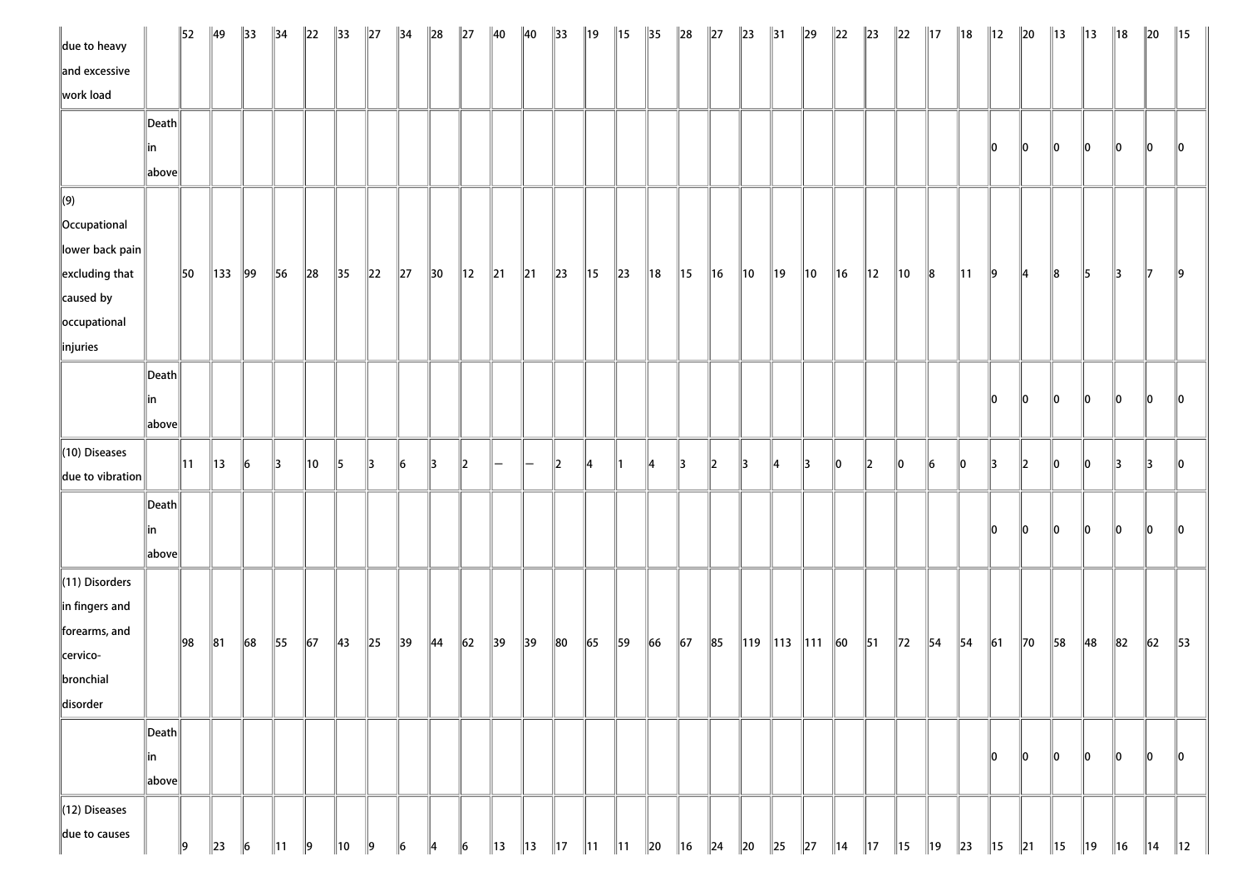| due to heavy               |       | $\parallel$ 52 | $\parallel$ 49 | $\parallel$ 33 | $\parallel$ 34 | $\ 22\ $   | $\parallel$ 33 | $\ 27$   | $\parallel$ 34 | $\ 28$         | $\ 27$         | $\parallel$ 40 | $\parallel$ 40 | $\parallel$ 33 | $\parallel$ 19 | $\parallel$ 15 | $\parallel$ 35 | $\ 28$         | $\ 27$     | $\ 23\ $       | $\parallel$ 31 | $\ 29\ $             | $\ 22\ $       | $\ 23\ $       | $\ 22\ $       | $\parallel$ 17 | $\parallel$ 18 | $\parallel$ 12 | $\vert$ 20     | $\parallel$ 13 | $\parallel$ 13 | $\parallel$ 18 | $\ 20$         | $\parallel$ 15 |
|----------------------------|-------|----------------|----------------|----------------|----------------|------------|----------------|----------|----------------|----------------|----------------|----------------|----------------|----------------|----------------|----------------|----------------|----------------|------------|----------------|----------------|----------------------|----------------|----------------|----------------|----------------|----------------|----------------|----------------|----------------|----------------|----------------|----------------|----------------|
| and excessive              |       |                |                |                |                |            |                |          |                |                |                |                |                |                |                |                |                |                |            |                |                |                      |                |                |                |                |                |                |                |                |                |                |                |                |
| work load                  |       |                |                |                |                |            |                |          |                |                |                |                |                |                |                |                |                |                |            |                |                |                      |                |                |                |                |                |                |                |                |                |                |                |                |
|                            | Death |                |                |                |                |            |                |          |                |                |                |                |                |                |                |                |                |                |            |                |                |                      |                |                |                |                |                |                |                |                |                |                |                |                |
|                            | in    |                |                |                |                |            |                |          |                |                |                |                |                |                |                |                |                |                |            |                |                |                      |                |                |                |                |                | 10             | 0              | $ 0\rangle$    | 10             | $\ 0\ $        | lo.            | llo            |
|                            | above |                |                |                |                |            |                |          |                |                |                |                |                |                |                |                |                |                |            |                |                |                      |                |                |                |                |                |                |                |                |                |                |                |                |
| $\Vert(9)\Vert$            |       |                |                |                |                |            |                |          |                |                |                |                |                |                |                |                |                |                |            |                |                |                      |                |                |                |                |                |                |                |                |                |                |                |                |
| Occupational               |       |                |                |                |                |            |                |          |                |                |                |                |                |                |                |                |                |                |            |                |                |                      |                |                |                |                |                |                |                |                |                |                |                |                |
| $\ $ lower back pain $\ $  |       |                |                |                |                |            |                |          |                |                |                |                |                |                |                |                |                |                |            |                |                |                      |                |                |                |                |                |                |                |                |                |                |                |                |
| $\parallel$ excluding that |       | 150            | 133   99       |                | 56             | $\ 28$     | $\parallel$ 35 | $\ 22\ $ | $\ 27\ $       | $\parallel$ 30 | $\parallel$ 12 | $\ 21$         | $\ 21$         | $\vert$ 23     | $\parallel$ 15 | $\ 23\ $       | $\parallel$ 18 | 15             | $\ $ 16    | $\parallel$ 10 | $\parallel$ 19 | $\parallel$ 10       | $\ $ 16        | $\parallel$ 12 | $\parallel$ 10 | 8              | $\parallel$ 11 | $\vert$ 9      | $\parallel$ 4  | $\ 8$          | 15             | $\parallel$ 3  | $\mathbb{I}$   | $\ 9$          |
| caused by                  |       |                |                |                |                |            |                |          |                |                |                |                |                |                |                |                |                |                |            |                |                |                      |                |                |                |                |                |                |                |                |                |                |                |                |
| occupational               |       |                |                |                |                |            |                |          |                |                |                |                |                |                |                |                |                |                |            |                |                |                      |                |                |                |                |                |                |                |                |                |                |                |                |
| $\ $ injuries              |       |                |                |                |                |            |                |          |                |                |                |                |                |                |                |                |                |                |            |                |                |                      |                |                |                |                |                |                |                |                |                |                |                |                |
|                            | Death |                |                |                |                |            |                |          |                |                |                |                |                |                |                |                |                |                |            |                |                |                      |                |                |                |                |                |                |                |                |                |                |                |                |
|                            | in    |                |                |                |                |            |                |          |                |                |                |                |                |                |                |                |                |                |            |                |                |                      |                |                |                |                |                | 10             | 10             | 10             | 10             | $\ 0\ $        | 10             | 10             |
|                            | above |                |                |                |                |            |                |          |                |                |                |                |                |                |                |                |                |                |            |                |                |                      |                |                |                |                |                |                |                |                |                |                |                |                |
| $(10)$ Diseases            |       |                |                |                |                |            |                |          |                |                |                |                |                |                |                |                |                |                |            |                |                |                      |                |                |                |                |                |                |                |                |                |                |                |                |
| $\ $ due to vibration      |       | $\vert$ 11     | $\parallel$ 13 | $\vert$ 6      | 13             | 10         | 15             | 13       | 6              | 13             | $\ 2\ $        |                |                | 12             | ۱⊿             |                |                | 3              | 12         | 13             | 14             | 13                   | 10             | 12             | 10             | 16             | 10             | 13             | 2              | 10             | 10             | $\parallel$ 3  | $\parallel$ 3  | 10             |
|                            |       |                |                |                |                |            |                |          |                |                |                |                |                |                |                |                |                |                |            |                |                |                      |                |                |                |                |                |                |                |                |                |                |                |                |
|                            | Death |                |                |                |                |            |                |          |                |                |                |                |                |                |                |                |                |                |            |                |                |                      |                |                |                |                |                |                |                |                |                |                |                |                |
|                            | in    |                |                |                |                |            |                |          |                |                |                |                |                |                |                |                |                |                |            |                |                |                      |                |                |                |                |                | 10             | 10             | 10             | 10             | $\ 0\ $        | lo.            | llo            |
|                            | above |                |                |                |                |            |                |          |                |                |                |                |                |                |                |                |                |                |            |                |                |                      |                |                |                |                |                |                |                |                |                |                |                |                |
| $\ $ (11) Disorders        |       |                |                |                |                |            |                |          |                |                |                |                |                |                |                |                |                |                |            |                |                |                      |                |                |                |                |                |                |                |                |                |                |                |                |
| in fingers and             |       |                |                |                |                |            |                |          |                |                |                |                |                |                |                |                |                |                |            |                |                |                      |                |                |                |                |                |                |                |                |                |                |                |                |
| forearms, and              |       | 98             | $\ 81$         | 68             | 55             | $\vert$ 67 | $\parallel$ 43 | $\ 25$   | 39             | $\parallel$ 44 | $\ 62\ $       | $\parallel$ 39 | $\parallel$ 39 | $ 80\rangle$   | 65             | $\parallel$ 59 | 66             | $\vert$ 67     | $\ 85$     |                |                | 119   113   111   60 |                | 51             | $\parallel$ 72 | $\parallel$ 54 | $\vert$ 54     | $\vert$ 61     | $\vert$ 70     | $\vert$ 58     | 48             | $\ 82\ $       | $\vert$ 62     | $\parallel$ 53 |
| cervico-                   |       |                |                |                |                |            |                |          |                |                |                |                |                |                |                |                |                |                |            |                |                |                      |                |                |                |                |                |                |                |                |                |                |                |                |
| bronchial                  |       |                |                |                |                |            |                |          |                |                |                |                |                |                |                |                |                |                |            |                |                |                      |                |                |                |                |                |                |                |                |                |                |                |                |
| disorder                   |       |                |                |                |                |            |                |          |                |                |                |                |                |                |                |                |                |                |            |                |                |                      |                |                |                |                |                |                |                |                |                |                |                |                |
|                            | Death |                |                |                |                |            |                |          |                |                |                |                |                |                |                |                |                |                |            |                |                |                      |                |                |                |                |                |                |                |                |                |                |                |                |
|                            | in    |                |                |                |                |            |                |          |                |                |                |                |                |                |                |                |                |                |            |                |                |                      |                |                |                |                |                | 10             | 10             | 10             | 10             | 10             | 10             | 10             |
|                            | above |                |                |                |                |            |                |          |                |                |                |                |                |                |                |                |                |                |            |                |                |                      |                |                |                |                |                |                |                |                |                |                |                |                |
| (12) Diseases              |       |                |                |                |                |            |                |          |                |                |                |                |                |                |                |                |                |                |            |                |                |                      |                |                |                |                |                |                |                |                |                |                |                |                |
| due to causes              |       |                |                |                |                |            |                |          |                |                |                |                |                |                |                |                |                |                |            |                |                |                      |                |                |                |                |                |                |                |                |                |                |                |                |
|                            |       | 19             | 23             | 16             | 11             | 19         | 10             | 9        | 16             | 4              | 6              | 13             | $\parallel$ 13 | $\vert$ 17     | $\parallel$ 11 | $\parallel$ 11 | $\ 20\ $       | $\parallel$ 16 | $\vert$ 24 | $\ 20\ $       | $\ 25\ $       | $\vert$ 27           | $\parallel$ 14 | $\parallel$ 17 | $\parallel$ 15 | $\parallel$ 19 | $\ 23\ $       | $\parallel$ 15 | $\parallel$ 21 | $\vert$ 15     | $\parallel$ 19 | $\parallel$ 16 | $\parallel$ 14 | $\parallel$ 12 |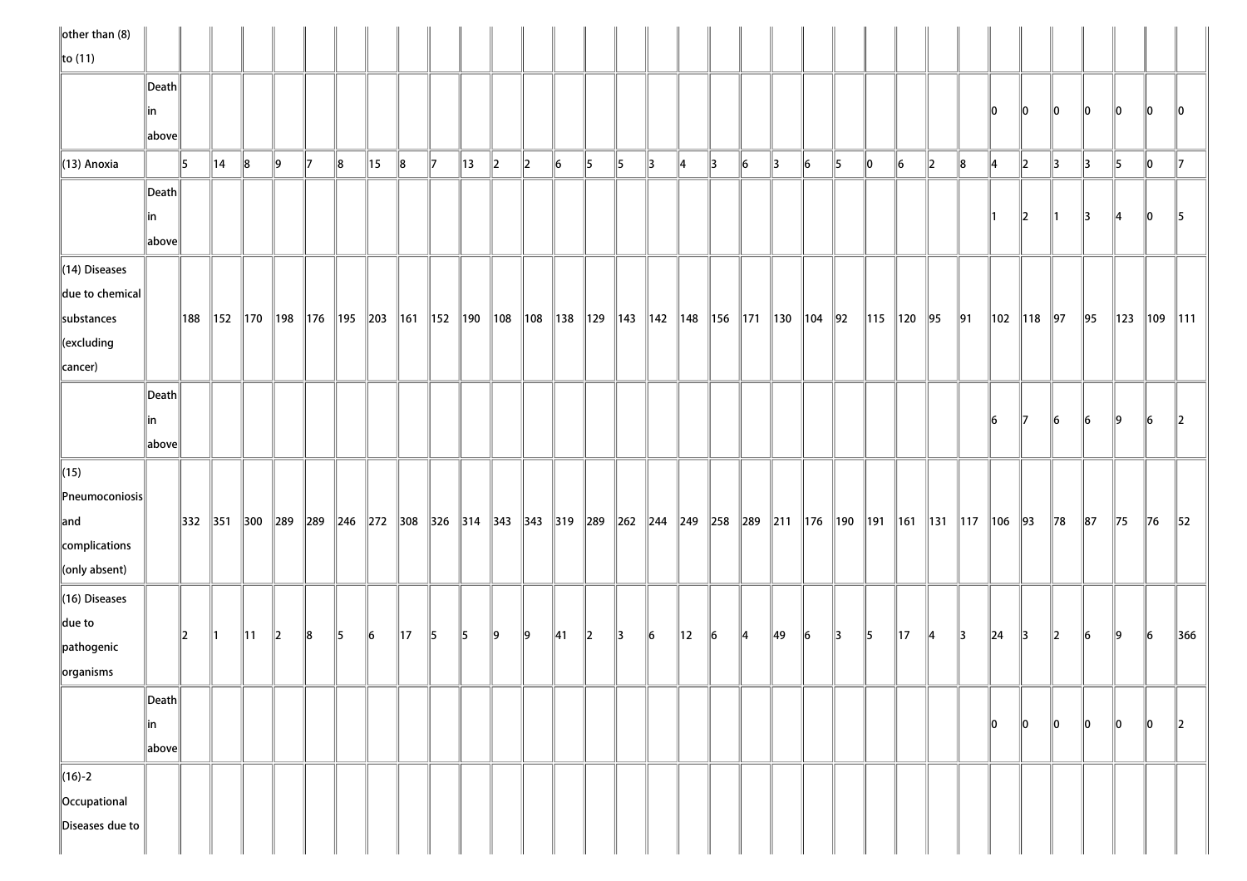| $\ $ other than (8)       |       |    |                |                |         |              |       |                                               |                |    |                                                                                                                        |                          |    |                |    |               |               |                |           |    |               |           |               |    |                |                      |               |                       |                |         |            |                |                |                          |
|---------------------------|-------|----|----------------|----------------|---------|--------------|-------|-----------------------------------------------|----------------|----|------------------------------------------------------------------------------------------------------------------------|--------------------------|----|----------------|----|---------------|---------------|----------------|-----------|----|---------------|-----------|---------------|----|----------------|----------------------|---------------|-----------------------|----------------|---------|------------|----------------|----------------|--------------------------|
| $\ $ to (11)              |       |    |                |                |         |              |       |                                               |                |    |                                                                                                                        |                          |    |                |    |               |               |                |           |    |               |           |               |    |                |                      |               |                       |                |         |            |                |                |                          |
|                           | Death |    |                |                |         |              |       |                                               |                |    |                                                                                                                        |                          |    |                |    |               |               |                |           |    |               |           |               |    |                |                      |               |                       |                |         |            |                |                |                          |
|                           | in    |    |                |                |         |              |       |                                               |                |    |                                                                                                                        |                          |    |                |    |               |               |                |           |    |               |           |               |    |                |                      |               | 10                    | 10             | 10      | 10         | 10             | $\parallel$ 0  | 10                       |
|                           | above |    |                |                |         |              |       |                                               |                |    |                                                                                                                        |                          |    |                |    |               |               |                |           |    |               |           |               |    |                |                      |               |                       |                |         |            |                |                |                          |
| $\parallel$ (13) Anoxia   |       | 15 | $\parallel$ 14 | $\ 8$          | ∥9      | $\mathbb{I}$ | $\ 8$ | 15                                            | $\parallel$ 8  | 17 | 13                                                                                                                     | $\parallel$ <sub>2</sub> | 2  | 6              | 15 | 15            | $\parallel$ 3 | 14             | 13        | 6  | $\parallel$ 3 | $\vert$ 6 | 5             | 10 | $\vert$ 6      | $\ 2\ $              | 8             | 14                    | 2              | 13      | 13         | 5              | 10             | 117                      |
|                           | Death |    |                |                |         |              |       |                                               |                |    |                                                                                                                        |                          |    |                |    |               |               |                |           |    |               |           |               |    |                |                      |               |                       |                |         |            |                |                |                          |
|                           | in    |    |                |                |         |              |       |                                               |                |    |                                                                                                                        |                          |    |                |    |               |               |                |           |    |               |           |               |    |                |                      |               | ∥1                    | $\ 2\ $        | 11      | 13         | $\parallel 4$  | $ 0\rangle$    | 15                       |
|                           | above |    |                |                |         |              |       |                                               |                |    |                                                                                                                        |                          |    |                |    |               |               |                |           |    |               |           |               |    |                |                      |               |                       |                |         |            |                |                |                          |
| $\ $ (14) Diseases        |       |    |                |                |         |              |       |                                               |                |    |                                                                                                                        |                          |    |                |    |               |               |                |           |    |               |           |               |    |                |                      |               |                       |                |         |            |                |                |                          |
| $\ $ due to chemical $\ $ |       |    |                |                |         |              |       |                                               |                |    |                                                                                                                        |                          |    |                |    |               |               |                |           |    |               |           |               |    |                |                      |               |                       |                |         |            |                |                |                          |
| substances                |       |    |                |                |         |              |       | 188   152   170   198   176   195   203   161 |                |    | 152   190   108   108   138   129   143   142   148   156   171   130   104   92                                       |                          |    |                |    |               |               |                |           |    |               |           |               |    | 115   120   95 |                      | ∥91           |                       | 102   118   97 |         | $\vert$ 95 | $\ 123\ $      | $\ 109\ 111\ $ |                          |
| $\ $ (excluding           |       |    |                |                |         |              |       |                                               |                |    |                                                                                                                        |                          |    |                |    |               |               |                |           |    |               |           |               |    |                |                      |               |                       |                |         |            |                |                |                          |
| $\ $ cancer)              |       |    |                |                |         |              |       |                                               |                |    |                                                                                                                        |                          |    |                |    |               |               |                |           |    |               |           |               |    |                |                      |               |                       |                |         |            |                |                |                          |
|                           | Death |    |                |                |         |              |       |                                               |                |    |                                                                                                                        |                          |    |                |    |               |               |                |           |    |               |           |               |    |                |                      |               |                       |                |         |            |                |                |                          |
|                           | in    |    |                |                |         |              |       |                                               |                |    |                                                                                                                        |                          |    |                |    |               |               |                |           |    |               |           |               |    |                |                      |               | 16                    | $\mathbb{I}$   | 6       | $\vert$ 6  | $\ 9\ $        | $\vert$ 6      | $\parallel$ <sub>2</sub> |
|                           | above |    |                |                |         |              |       |                                               |                |    |                                                                                                                        |                          |    |                |    |               |               |                |           |    |               |           |               |    |                |                      |               |                       |                |         |            |                |                |                          |
| $\ $ (15)                 |       |    |                |                |         |              |       |                                               |                |    |                                                                                                                        |                          |    |                |    |               |               |                |           |    |               |           |               |    |                |                      |               |                       |                |         |            |                |                |                          |
| $\ $ Pneumoconiosis $\ $  |       |    |                |                |         |              |       |                                               |                |    |                                                                                                                        |                          |    |                |    |               |               |                |           |    |               |           |               |    |                |                      |               |                       |                |         |            |                |                |                          |
| $\parallel$ and           |       |    |                |                |         |              |       |                                               |                |    | 332  351  300  289  289  246  272  308  326  314  343  343  319  289  262  244  249  258  289  211  176  190  191  161 |                          |    |                |    |               |               |                |           |    |               |           |               |    |                | 131   117   106   93 |               |                       |                | 78      | $\ 87$     | $\parallel$ 75 | $\vert$ 76     | 52                       |
| complications             |       |    |                |                |         |              |       |                                               |                |    |                                                                                                                        |                          |    |                |    |               |               |                |           |    |               |           |               |    |                |                      |               |                       |                |         |            |                |                |                          |
| $\ $ (only absent)        |       |    |                |                |         |              |       |                                               |                |    |                                                                                                                        |                          |    |                |    |               |               |                |           |    |               |           |               |    |                |                      |               |                       |                |         |            |                |                |                          |
| $\ $ (16) Diseases        |       |    |                |                |         |              |       |                                               |                |    |                                                                                                                        |                          |    |                |    |               |               |                |           |    |               |           |               |    |                |                      |               |                       |                |         |            |                |                |                          |
| $\parallel$ due to        |       | 2  | $\parallel$ 1  | $\parallel$ 11 | $\ 2\ $ | $\ 8$        | 15    | 16                                            | $\parallel$ 17 | 15 | 15                                                                                                                     | $\vert$ 9                | ∥9 | $\parallel$ 41 | 2  | $\parallel$ 3 | $\vert$ 6     | $\parallel$ 12 | $\vert$ 6 | 14 | 49            | $\vert$ 6 | $\parallel$ 3 | 5  | $\parallel$ 17 | $\parallel$ 4        | $\parallel$ 3 | $\vert$ <sub>24</sub> | $\parallel$ 3  | $\ 2\ $ | $\vert$ 6  | ∥9             | $\vert$ 6      | 366                      |
| pathogenic                |       |    |                |                |         |              |       |                                               |                |    |                                                                                                                        |                          |    |                |    |               |               |                |           |    |               |           |               |    |                |                      |               |                       |                |         |            |                |                |                          |
| organisms                 |       |    |                |                |         |              |       |                                               |                |    |                                                                                                                        |                          |    |                |    |               |               |                |           |    |               |           |               |    |                |                      |               |                       |                |         |            |                |                |                          |
|                           | Death |    |                |                |         |              |       |                                               |                |    |                                                                                                                        |                          |    |                |    |               |               |                |           |    |               |           |               |    |                |                      |               |                       |                |         |            |                |                |                          |
|                           | in    |    |                |                |         |              |       |                                               |                |    |                                                                                                                        |                          |    |                |    |               |               |                |           |    |               |           |               |    |                |                      |               | 10                    | 10             | 10      | 10         | 10             | 10             | $\parallel$ 2            |
|                           | above |    |                |                |         |              |       |                                               |                |    |                                                                                                                        |                          |    |                |    |               |               |                |           |    |               |           |               |    |                |                      |               |                       |                |         |            |                |                |                          |
| $\ $ (16)-2               |       |    |                |                |         |              |       |                                               |                |    |                                                                                                                        |                          |    |                |    |               |               |                |           |    |               |           |               |    |                |                      |               |                       |                |         |            |                |                |                          |
| Occupational              |       |    |                |                |         |              |       |                                               |                |    |                                                                                                                        |                          |    |                |    |               |               |                |           |    |               |           |               |    |                |                      |               |                       |                |         |            |                |                |                          |
| Diseases due to           |       |    |                |                |         |              |       |                                               |                |    |                                                                                                                        |                          |    |                |    |               |               |                |           |    |               |           |               |    |                |                      |               |                       |                |         |            |                |                |                          |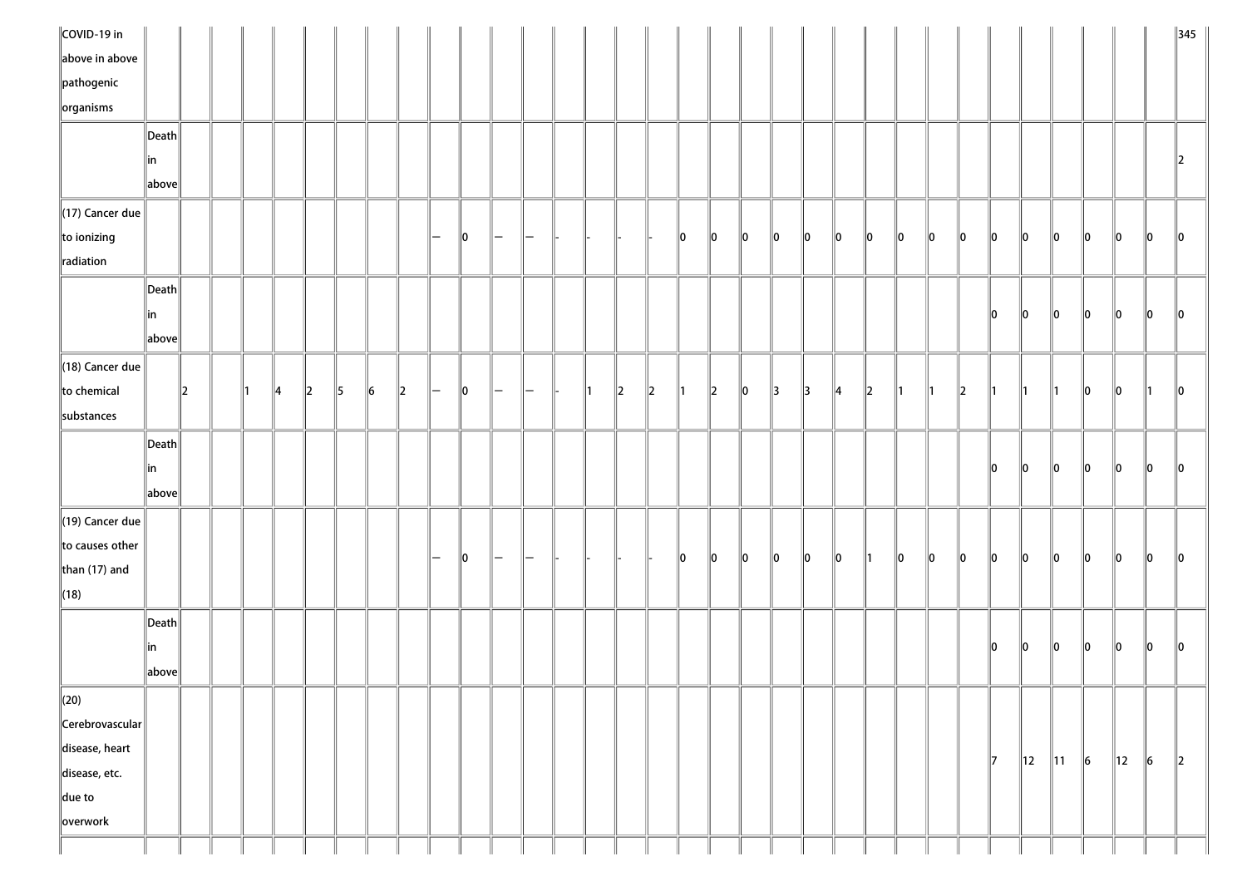| COVID-19 in            |       |         |  |    |               |    |    |               |     |               |                          |                          |  |    |               |    |             |    |               |               |    |               |               |                 |          |          |                |                |           |                |           | $\parallel$ 345 |
|------------------------|-------|---------|--|----|---------------|----|----|---------------|-----|---------------|--------------------------|--------------------------|--|----|---------------|----|-------------|----|---------------|---------------|----|---------------|---------------|-----------------|----------|----------|----------------|----------------|-----------|----------------|-----------|-----------------|
| above in above         |       |         |  |    |               |    |    |               |     |               |                          |                          |  |    |               |    |             |    |               |               |    |               |               |                 |          |          |                |                |           |                |           |                 |
| $\ $ pathogenic        |       |         |  |    |               |    |    |               |     |               |                          |                          |  |    |               |    |             |    |               |               |    |               |               |                 |          |          |                |                |           |                |           |                 |
| $\left\Vert$ organisms |       |         |  |    |               |    |    |               |     |               |                          |                          |  |    |               |    |             |    |               |               |    |               |               |                 |          |          |                |                |           |                |           |                 |
|                        | Death |         |  |    |               |    |    |               |     |               |                          |                          |  |    |               |    |             |    |               |               |    |               |               |                 |          |          |                |                |           |                |           |                 |
|                        | ∥in   |         |  |    |               |    |    |               |     |               |                          |                          |  |    |               |    |             |    |               |               |    |               |               |                 |          |          |                |                |           |                |           | $\overline{2}$  |
|                        | above |         |  |    |               |    |    |               |     |               |                          |                          |  |    |               |    |             |    |               |               |    |               |               |                 |          |          |                |                |           |                |           |                 |
| $\ $ (17) Cancer due   |       |         |  |    |               |    |    |               |     |               |                          |                          |  |    |               |    |             |    |               |               |    |               |               |                 |          |          |                |                |           |                |           |                 |
| $\ $ to ionizing       |       |         |  |    |               |    |    |               | $-$ | $\parallel$ 0 | $\overline{\phantom{m}}$ |                          |  |    |               | 10 | 10          | 10 | $\ 0\ $       | $\parallel$ 0 | 10 | $\parallel$ 0 | llo.          | llo.            | 10       | <b>O</b> | 10             | 10             | <b>O</b>  | $\ 0\ $        | 10        | 10              |
| radiation              |       |         |  |    |               |    |    |               |     |               |                          |                          |  |    |               |    |             |    |               |               |    |               |               |                 |          |          |                |                |           |                |           |                 |
|                        | Death |         |  |    |               |    |    |               |     |               |                          |                          |  |    |               |    |             |    |               |               |    |               |               |                 |          |          |                |                |           |                |           |                 |
|                        | ∥in   |         |  |    |               |    |    |               |     |               |                          |                          |  |    |               |    |             |    |               |               |    |               |               |                 |          | ∥o       | 10             | $ 0\rangle$    | 10        | $\ 0\ $        | 10        | $ 0\rangle$     |
|                        | above |         |  |    |               |    |    |               |     |               |                          |                          |  |    |               |    |             |    |               |               |    |               |               |                 |          |          |                |                |           |                |           |                 |
| $\ $ (18) Cancer due   |       |         |  |    |               |    |    |               |     |               |                          |                          |  |    |               |    |             |    |               |               |    |               |               |                 |          |          |                |                |           |                |           |                 |
| $\ $ to chemical       |       | $\ 2\ $ |  | 14 | $\mathbb{I}2$ | 15 | 16 | $\parallel$ 2 | -   | 10            |                          |                          |  | 12 | $\parallel$ 2 | ∥1 | $ 2\rangle$ | 10 | $\parallel$ 3 | $\parallel$ 3 | 14 | $\parallel$ 2 |               |                 | 2        | 11.      | $\mathsf{I}1$  | $\parallel$ 1  | 10        | <b>O</b>       | ∥1        | 10              |
| substances             |       |         |  |    |               |    |    |               |     |               |                          |                          |  |    |               |    |             |    |               |               |    |               |               |                 |          |          |                |                |           |                |           |                 |
|                        | Death |         |  |    |               |    |    |               |     |               |                          |                          |  |    |               |    |             |    |               |               |    |               |               |                 |          |          |                |                |           |                |           |                 |
|                        | ∥in   |         |  |    |               |    |    |               |     |               |                          |                          |  |    |               |    |             |    |               |               |    |               |               |                 |          | 10       | 10             | <b>O</b>       | <b>O</b>  | $\ 0\ $        | 10        | 10              |
|                        | above |         |  |    |               |    |    |               |     |               |                          |                          |  |    |               |    |             |    |               |               |    |               |               |                 |          |          |                |                |           |                |           |                 |
| $\ $ (19) Cancer due   |       |         |  |    |               |    |    |               |     |               |                          |                          |  |    |               |    |             |    |               |               |    |               |               |                 |          |          |                |                |           |                |           |                 |
| to causes other        |       |         |  |    |               |    |    |               |     |               |                          |                          |  |    |               |    |             |    |               |               |    |               |               |                 |          |          |                |                |           |                |           |                 |
| than $(17)$ and        |       |         |  |    |               |    |    |               | $-$ | 10            | $\overline{\phantom{m}}$ | $\overline{\phantom{m}}$ |  |    |               | 10 | 10          | 10 | <b>O</b>      | $\parallel$ 0 | 10 | $\parallel$ 1 | $\parallel$ 0 | $\mathsf{I}$ lo | <b>O</b> | <b>O</b> | 10             | <b>O</b>       | <b>O</b>  | $\ 0\ $        | llo.      | 10              |
| $\ $ (18)              |       |         |  |    |               |    |    |               |     |               |                          |                          |  |    |               |    |             |    |               |               |    |               |               |                 |          |          |                |                |           |                |           |                 |
|                        | Death |         |  |    |               |    |    |               |     |               |                          |                          |  |    |               |    |             |    |               |               |    |               |               |                 |          |          |                |                |           |                |           |                 |
|                        | ∥in   |         |  |    |               |    |    |               |     |               |                          |                          |  |    |               |    |             |    |               |               |    |               |               |                 |          | 10       | 10             | <b>O</b>       | 10        | <b>O</b>       | 10        | 10              |
|                        | above |         |  |    |               |    |    |               |     |               |                          |                          |  |    |               |    |             |    |               |               |    |               |               |                 |          |          |                |                |           |                |           |                 |
| $\parallel$ (20)       |       |         |  |    |               |    |    |               |     |               |                          |                          |  |    |               |    |             |    |               |               |    |               |               |                 |          |          |                |                |           |                |           |                 |
| Cerebrovascular        |       |         |  |    |               |    |    |               |     |               |                          |                          |  |    |               |    |             |    |               |               |    |               |               |                 |          |          |                |                |           |                |           |                 |
| disease, heart         |       |         |  |    |               |    |    |               |     |               |                          |                          |  |    |               |    |             |    |               |               |    |               |               |                 |          |          |                |                |           |                |           |                 |
| disease, etc.          |       |         |  |    |               |    |    |               |     |               |                          |                          |  |    |               |    |             |    |               |               |    |               |               |                 |          | 17       | $\parallel$ 12 | $\parallel$ 11 | $\vert$ 6 | $\parallel$ 12 | $\vert$ 6 | $\ 2\ $         |
| $\ $ due to            |       |         |  |    |               |    |    |               |     |               |                          |                          |  |    |               |    |             |    |               |               |    |               |               |                 |          |          |                |                |           |                |           |                 |
| overwork               |       |         |  |    |               |    |    |               |     |               |                          |                          |  |    |               |    |             |    |               |               |    |               |               |                 |          |          |                |                |           |                |           |                 |
|                        |       |         |  |    |               |    |    |               |     |               |                          |                          |  |    |               |    |             |    |               |               |    |               |               |                 |          |          |                |                |           |                |           |                 |